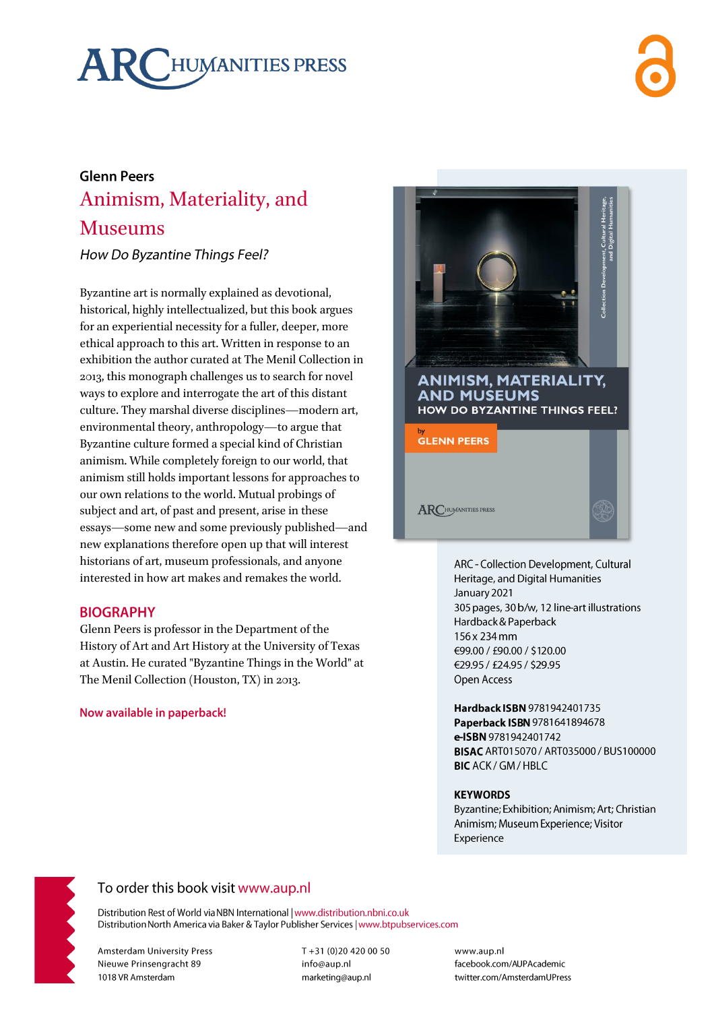# HUMANITIES PRESS

## **Glenn Peers** Animism, Materiality, and **Museums**

How Do Byzantine Things Feel?

Byzantine art is normally explained as devotional, historical, highly intellectualized, but this book argues for an experiential necessity for a fuller, deeper, more ethical approach to this art. Written in response to an exhibition the author curated at The Menil Collection in 2013, this monograph challenges us to search for novel ways to explore and interrogate the art of this distant culture. They marshal diverse disciplines—modern art, environmental theory, anthropology-to argue that Byzantine culture formed a special kind of Christian animism. While completely foreign to our world, that animism still holds important lessons for approaches to our own relations to the world. Mutual probings of subject and art, of past and present, arise in these essays—some new and some previously published—and new explanations therefore open up that will interest historians of art, museum professionals, and anyone interested in how art makes and remakes the world.

## **BIOGRAPHY**

Glenn Peers is professor in the Department of the History of Art and Art History at the University of Texas at Austin. He curated "Byzantine Things in the World" at The Menil Collection (Houston, TX) in 2013.

#### Now available in paperback!



ARC - Collection Development, Cultural Heritage, and Digital Humanities January 2021 305 pages, 30 b/w, 12 line-art illustrations Hardback & Paperback 156 x 234 mm €99.00 / £90.00 / \$120.00 €29.95 / £24.95 / \$29.95 Open Access

Hardback ISBN 9781942401735 Paperback ISBN 9781641894678 e-ISBN 9781942401742 BISAC ART015070 / ART035000 / BUS100000 **BIC** ACK / GM / HBLC

#### **KEYWORDS**

Byzantine; Exhibition; Animism; Art; Christian Animism; Museum Experience; Visitor Experience



## To order this book visit www.aup.nl

Distribution Rest of World via NBN International | www.distribution.nbni.co.uk Distribution North America via Baker & Taylor Publisher Services | www.btpubservices.com

**Amsterdam University Press** Nieuwe Prinsengracht 89 1018 VR Amsterdam

T+31 (0)20 420 00 50 info@aup.nl marketing@aup.nl

www.aup.nl facebook.com/AUPAcademic twitter.com/AmsterdamUPress